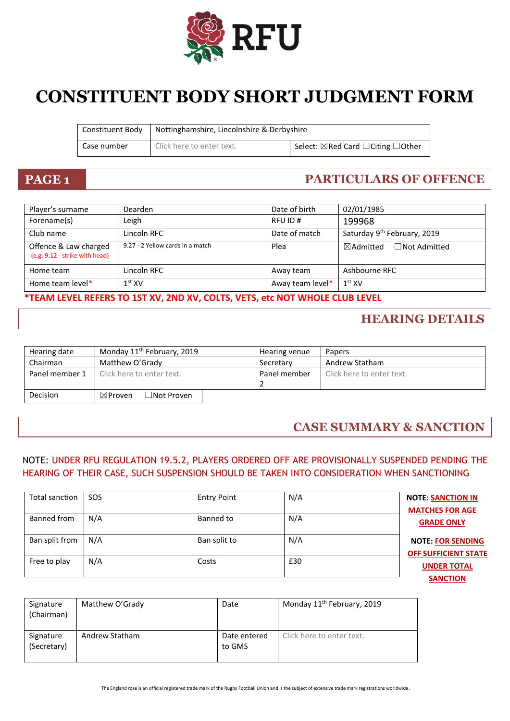

# **CONSTITUENT BODY SHORT JUDGMENT FORM**

| Constituent Body | Nottinghamshire, Lincolnshire & Derbyshire |                                    |
|------------------|--------------------------------------------|------------------------------------|
| Case number      | Click here to enter text.                  | Select: ⊠Red Card □ Citing □ Other |

## **PAGE 1 PARTICULARS OF OFFENCE**

| Player's surname                                        | <b>Dearden</b>                   | Date of birth    | 02/01/1985                                  |
|---------------------------------------------------------|----------------------------------|------------------|---------------------------------------------|
| Forename(s)                                             | Leigh                            | RFU ID#          | 199968                                      |
| Club name                                               | Lincoln RFC                      | Date of match    | Saturday 9 <sup>th</sup> February, 2019     |
| Offence & Law charged<br>(e.g. 9.12 - strike with head) | 9.27 - 2 Yellow cards in a match | Plea             | $\boxtimes$ Admitted<br>$\Box$ Not Admitted |
| Home team                                               | Lincoln RFC                      | Away team        | Ashbourne RFC                               |
| Home team level*                                        | $1st$ XV                         | Away team level* | 1 <sup>st</sup> XV                          |

#### **\*TEAM LEVEL REFERS TO 1ST XV, 2ND XV, COLTS, VETS, etc NOT WHOLE CLUB LEVEL**

### **HEARING DETAILS**

| Hearing date   | Monday 11 <sup>th</sup> February, 2019  | Hearing venue | <b>Papers</b>             |
|----------------|-----------------------------------------|---------------|---------------------------|
| Chairman       | Matthew O'Grady                         | Secretary     | Andrew Statham            |
| Panel member 1 | Click here to enter text.               | Panel member  | Click here to enter text. |
|                |                                         |               |                           |
| Decision       | $\Box$ Not Proven<br>$\boxtimes$ Proven |               |                           |

### **CASE SUMMARY & SANCTION**

#### NOTE: UNDER RFU REGULATION 19.5.2, PLAYERS ORDERED OFF ARE PROVISIONALLY SUSPENDED PENDING THE HEARING OF THEIR CASE, SUCH SUSPENSION SHOULD BE TAKEN INTO CONSIDERATION WHEN SANCTIONING

| Total sanction | <b>SOS</b> | <b>Entry Point</b> | N/A | <b>NOTE: SANCTION IN</b><br><b>MATCHES FOR AGE</b>      |
|----------------|------------|--------------------|-----|---------------------------------------------------------|
| Banned from    | N/A        | Banned to          | N/A | <b>GRADE ONLY</b>                                       |
| Ban split from | N/A        | Ban split to       | N/A | <b>NOTE: FOR SENDING</b><br><b>OFF SUFFICIENT STATE</b> |
| Free to play   | N/A        | Costs              | £30 | <b>UNDER TOTAL</b>                                      |
|                |            |                    |     | <b>SANCTION</b>                                         |

| Signature<br>(Chairman)  | Matthew O'Grady | Date                   | Monday 11 <sup>th</sup> February, 2019 |
|--------------------------|-----------------|------------------------|----------------------------------------|
| Signature<br>(Secretary) | Andrew Statham  | Date entered<br>to GMS | Click here to enter text.              |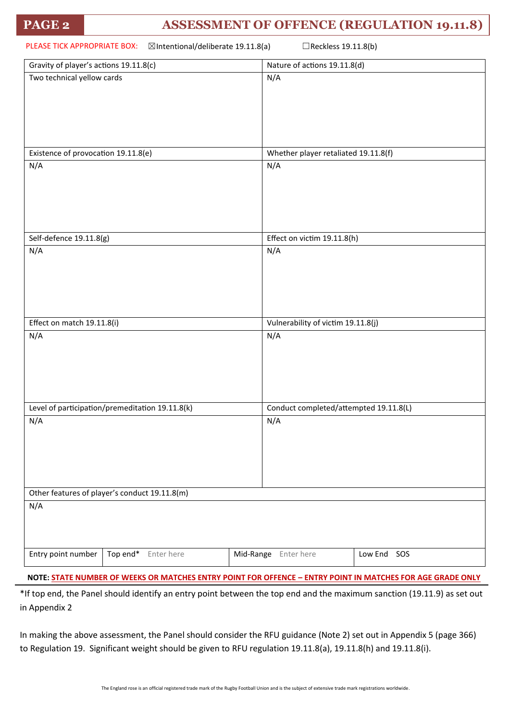# **PAGE 2 ASSESSMENT OF OFFENCE (REGULATION 19.11.8)**

| PLEASE TICK APPROPRIATE BOX:<br>⊠Intentional/deliberate 19.11.8(a)<br>□Reckless 19.11.8(b) |                                        |  |
|--------------------------------------------------------------------------------------------|----------------------------------------|--|
| Gravity of player's actions 19.11.8(c)                                                     | Nature of actions 19.11.8(d)           |  |
| Two technical yellow cards                                                                 | N/A                                    |  |
| Existence of provocation 19.11.8(e)                                                        | Whether player retaliated 19.11.8(f)   |  |
| N/A                                                                                        | N/A                                    |  |
| Self-defence 19.11.8(g)                                                                    | Effect on victim 19.11.8(h)            |  |
| N/A                                                                                        | N/A                                    |  |
| Effect on match 19.11.8(i)                                                                 | Vulnerability of victim 19.11.8(j)     |  |
| N/A                                                                                        | N/A                                    |  |
| Level of participation/premeditation 19.11.8(k)                                            | Conduct completed/attempted 19.11.8(L) |  |
| N/A                                                                                        | N/A                                    |  |
| Other features of player's conduct 19.11.8(m)                                              |                                        |  |
| N/A                                                                                        |                                        |  |
| Top end*<br>Entry point number<br>Enter here                                               | Mid-Range Enter here<br>Low End SOS    |  |
|                                                                                            |                                        |  |

**NOTE: STATE NUMBER OF WEEKS OR MATCHES ENTRY POINT FOR OFFENCE – ENTRY POINT IN MATCHES FOR AGE GRADE ONLY**

\*If top end, the Panel should identify an entry point between the top end and the maximum sanction (19.11.9) as set out in Appendix 2

In making the above assessment, the Panel should consider the RFU guidance (Note 2) set out in Appendix 5 (page 366) to Regulation 19. Significant weight should be given to RFU regulation 19.11.8(a), 19.11.8(h) and 19.11.8(i).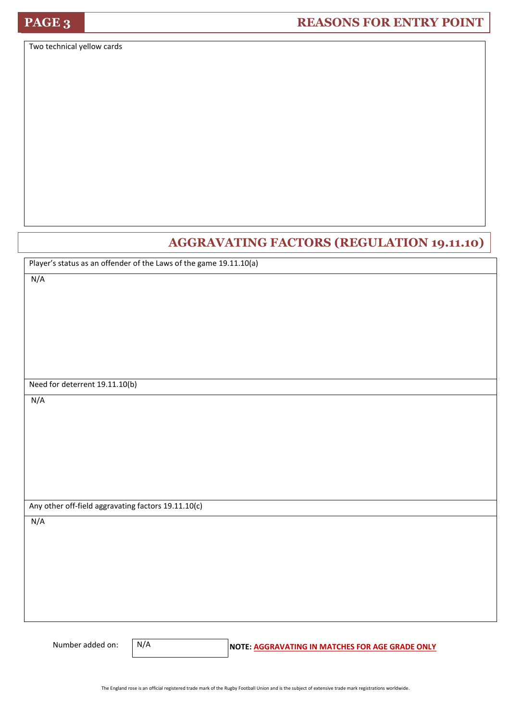Two technical yellow cards

### **AGGRAVATING FACTORS (REGULATION 19.11.10)**

Player's status as an offender of the Laws of the game 19.11.10(a)

N/A

Need for deterrent 19.11.10(b)

N/A

Any other off-field aggravating factors 19.11.10(c)

N/A

N/A

Number added on: **N/A** NOTE: AGGRAVATING IN MATCHES FOR AGE GRADE ONLY